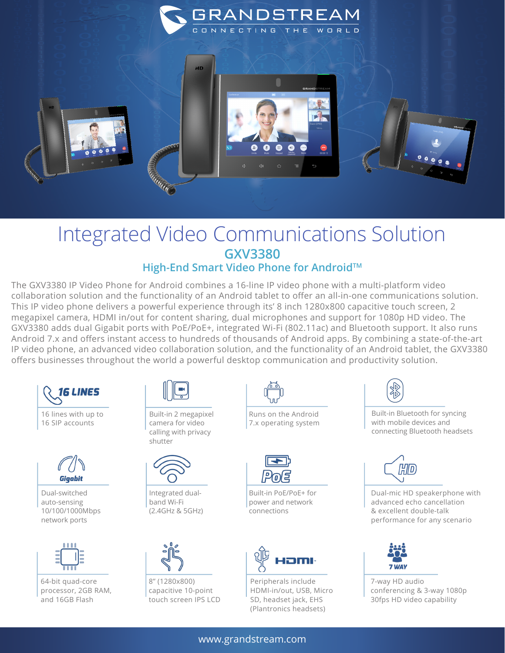

## Integrated Video Communications Solution **GXV3380**

**High-End Smart Video Phone for AndroidTM**

The GXV3380 IP Video Phone for Android combines a 16-line IP video phone with a multi-platform video collaboration solution and the functionality of an Android tablet to offer an all-in-one communications solution. This IP video phone delivers a powerful experience through its' 8 inch 1280x800 capacitive touch screen, 2 megapixel camera, HDMI in/out for content sharing, dual microphones and support for 1080p HD video. The GXV3380 adds dual Gigabit ports with PoE/PoE+, integrated Wi-Fi (802.11ac) and Bluetooth support. It also runs Android 7.x and offers instant access to hundreds of thousands of Android apps. By combining a state-of-the-art IP video phone, an advanced video collaboration solution, and the functionality of an Android tablet, the GXV3380 offers businesses throughout the world a powerful desktop communication and productivity solution.





Dual-switched auto-sensing 10/100/1000Mbps network ports



64-bit quad-core processor, 2GB RAM, and 16GB Flash



Built-in 2 megapixel camera for video calling with privacy shutter



Integrated dualband Wi-Fi (2.4GHz & 5GHz)



8'' (1280x800) capacitive 10-point touch screen IPS LCD



Runs on the Android 7.x operating system



Built-in PoE/PoE+ for power and network connections



Peripherals include HDMI-in/out, USB, Micro SD, headset jack, EHS (Plantronics headsets)



Built-in Bluetooth for syncing with mobile devices and connecting Bluetooth headsets



Dual-mic HD speakerphone with advanced echo cancellation & excellent double-talk performance for any scenario



7-way HD audio conferencing & 3-way 1080p 30fps HD video capability